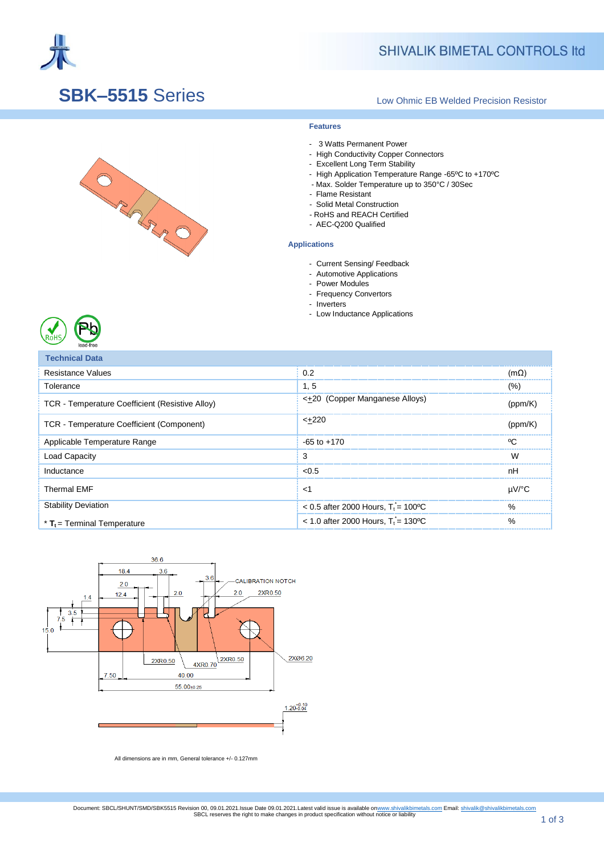

## **SHIVALIK BIMETAL CONTROLS Itd**

# **SBK–5515** Series

O RALEY O

## Low Ohmic EB Welded Precision Resistor

### **Features**

- 3 Watts Permanent Power
- High Conductivity Copper Connectors
- Excellent Long Term Stability
- High Application Temperature Range -65ºC to +170ºC
- Max. Solder Temperature up to 350°C / 30Sec
- Flame Resistant
- Solid Metal Construction
- RoHS and REACH Certified
- AEC-Q200 Qualified

#### **A Applications**

- Current Sensing/ Feedback
- Automotive Applications
- Power Modules
- Frequency Convertors
- Inverters
- Low Inductance Applications



| Technical Data                                  |                                                   |               |
|-------------------------------------------------|---------------------------------------------------|---------------|
| <b>Resistance Values</b>                        | 0.2                                               | (m $\Omega$ ) |
| Tolerance                                       | 1, 5                                              | (%)           |
| TCR - Temperature Coefficient (Resistive Alloy) | <+20 (Copper Manganese Alloys)                    | (ppm/K)       |
| TCR - Temperature Coefficient (Component)       | $< +220$                                          | (ppm/K        |
| Applicable Temperature Range                    | $-65$ to $+170$                                   | $^{\circ}$    |
| <b>Load Capacity</b>                            | 3                                                 | W             |
| Inductance                                      | < 0.5                                             | nH            |
| <b>Thermal EMF</b>                              | ا>                                                | µV/°C         |
| <b>Stability Deviation</b>                      | $< 0.5$ after 2000 Hours, $T_i = 100^{\circ}$ C   | %             |
| $*$ T <sub>t</sub> = Terminal Temperature       | $< 1.0$ after 2000 Hours. T <sub>1</sub> = 130 °C | %             |



All dimensions are in mm, General tolerance +/- 0.127mm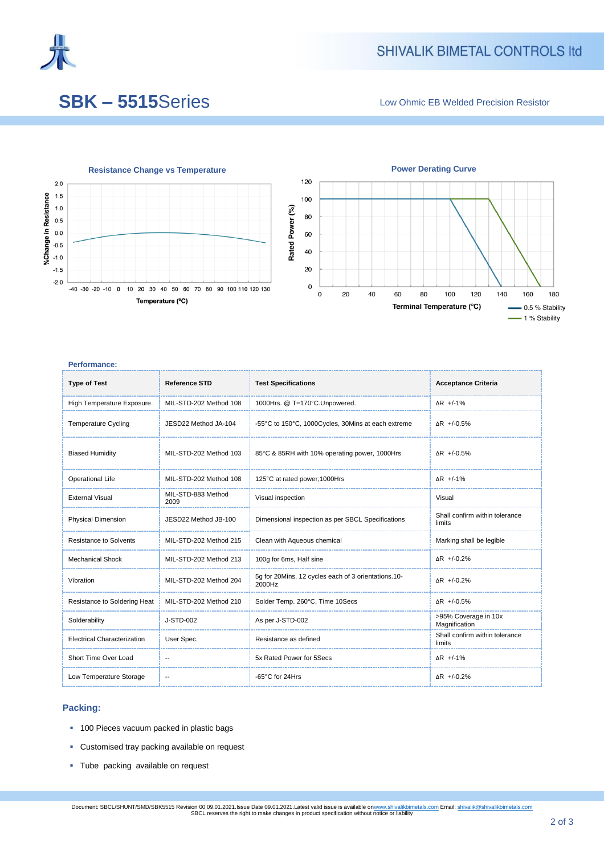

# **SBK – 5515**Series

Low Ohmic EB Welded Precision Resistor



### **Performance:**

| <b>Type of Test</b>                | <b>Reference STD</b>       | <b>Test Specifications</b>                                    | <b>Acceptance Criteria</b>               |
|------------------------------------|----------------------------|---------------------------------------------------------------|------------------------------------------|
| <b>High Temperature Exposure</b>   | MIL-STD-202 Method 108     | 1000Hrs. @ T=170°C.Unpowered.                                 | $\Delta$ R +/-1%                         |
| <b>Temperature Cycling</b>         | JESD22 Method JA-104       | -55°C to 150°C, 1000Cycles, 30Mins at each extreme            | ΔR +/-0.5%                               |
| <b>Biased Humidity</b>             | MIL-STD-202 Method 103     | 85°C & 85RH with 10% operating power, 1000Hrs                 | $\Delta$ R +/-0.5%                       |
| Operational Life                   | MIL-STD-202 Method 108     | 125°C at rated power, 1000Hrs                                 | ΔR +/-1%                                 |
| <b>External Visual</b>             | MIL-STD-883 Method<br>2009 | Visual inspection                                             | Visual                                   |
| <b>Physical Dimension</b>          | JESD22 Method JB-100       | Dimensional inspection as per SBCL Specifications             | Shall confirm within tolerance<br>limits |
| Resistance to Solvents             | MIL-STD-202 Method 215     | Clean with Aqueous chemical                                   | Marking shall be legible                 |
| <b>Mechanical Shock</b>            | MIL-STD-202 Method 213     | 100g for 6ms, Half sine                                       | $AR +1.0.2\%$                            |
| Vibration                          | MIL-STD-202 Method 204     | 5g for 20Mins, 12 cycles each of 3 orientations.10-<br>2000Hz | ΔR +/-0.2%                               |
| Resistance to Soldering Heat       | MIL-STD-202 Method 210     | Solder Temp. 260°C, Time 10Secs                               | $AR + -0.5%$                             |
| Solderability                      | J-STD-002                  | As per J-STD-002                                              | >95% Coverage in 10x<br>Magnification    |
| <b>Electrical Characterization</b> | User Spec.                 | Resistance as defined                                         | Shall confirm within tolerance<br>limits |
| Short Time Over Load               |                            | 5x Rated Power for 5Secs                                      | $AR +1.1\%$                              |
| Low Temperature Storage            |                            | -65°C for 24Hrs                                               | ΔR +/-0.2%                               |

### **Packing:**

- **100 Pieces vacuum packed in plastic bags**
- **Customised tray packing available on request**
- **Tube packing available on request**